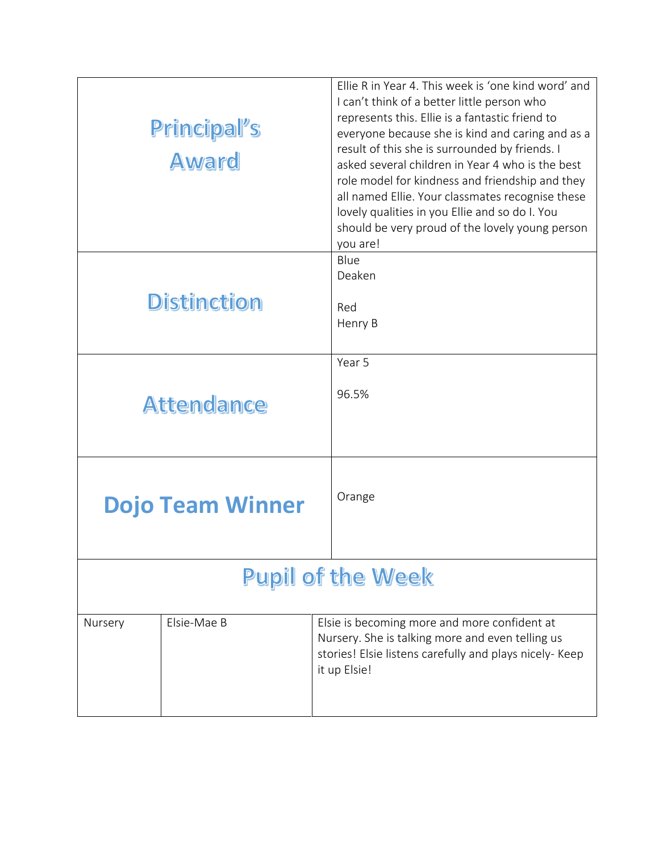| Principal's<br>Award     |                         | Ellie R in Year 4. This week is 'one kind word' and<br>I can't think of a better little person who<br>represents this. Ellie is a fantastic friend to<br>everyone because she is kind and caring and as a<br>result of this she is surrounded by friends. I<br>asked several children in Year 4 who is the best<br>role model for kindness and friendship and they<br>all named Ellie. Your classmates recognise these<br>lovely qualities in you Ellie and so do I. You<br>should be very proud of the lovely young person<br>you are! |  |  |
|--------------------------|-------------------------|-----------------------------------------------------------------------------------------------------------------------------------------------------------------------------------------------------------------------------------------------------------------------------------------------------------------------------------------------------------------------------------------------------------------------------------------------------------------------------------------------------------------------------------------|--|--|
| <b>Distinction</b>       |                         | Blue<br>Deaken<br>Red<br>Henry B                                                                                                                                                                                                                                                                                                                                                                                                                                                                                                        |  |  |
|                          | <b>Attendance</b>       | Year 5<br>96.5%                                                                                                                                                                                                                                                                                                                                                                                                                                                                                                                         |  |  |
|                          | <b>Dojo Team Winner</b> | Orange                                                                                                                                                                                                                                                                                                                                                                                                                                                                                                                                  |  |  |
| <b>Pupil of the Week</b> |                         |                                                                                                                                                                                                                                                                                                                                                                                                                                                                                                                                         |  |  |
| Nursery                  | Elsie-Mae B             | Elsie is becoming more and more confident at<br>Nursery. She is talking more and even telling us<br>stories! Elsie listens carefully and plays nicely- Keep<br>it up Elsie!                                                                                                                                                                                                                                                                                                                                                             |  |  |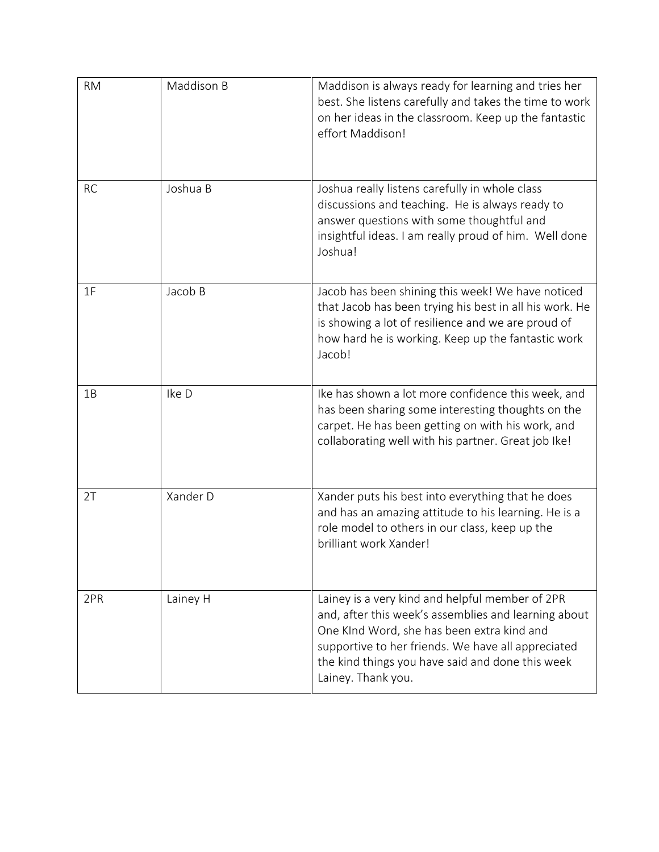| <b>RM</b> | Maddison B | Maddison is always ready for learning and tries her<br>best. She listens carefully and takes the time to work<br>on her ideas in the classroom. Keep up the fantastic<br>effort Maddison!                                                                                             |
|-----------|------------|---------------------------------------------------------------------------------------------------------------------------------------------------------------------------------------------------------------------------------------------------------------------------------------|
| <b>RC</b> | Joshua B   | Joshua really listens carefully in whole class<br>discussions and teaching. He is always ready to<br>answer questions with some thoughtful and<br>insightful ideas. I am really proud of him. Well done<br>Joshua!                                                                    |
| 1F        | Jacob B    | Jacob has been shining this week! We have noticed<br>that Jacob has been trying his best in all his work. He<br>is showing a lot of resilience and we are proud of<br>how hard he is working. Keep up the fantastic work<br>Jacob!                                                    |
| 1B        | Ike D      | Ike has shown a lot more confidence this week, and<br>has been sharing some interesting thoughts on the<br>carpet. He has been getting on with his work, and<br>collaborating well with his partner. Great job Ike!                                                                   |
| 2T        | Xander D   | Xander puts his best into everything that he does<br>and has an amazing attitude to his learning. He is a<br>role model to others in our class, keep up the<br>brilliant work Xander!                                                                                                 |
| 2PR       | Lainey H   | Lainey is a very kind and helpful member of 2PR<br>and, after this week's assemblies and learning about<br>One KInd Word, she has been extra kind and<br>supportive to her friends. We have all appreciated<br>the kind things you have said and done this week<br>Lainey. Thank you. |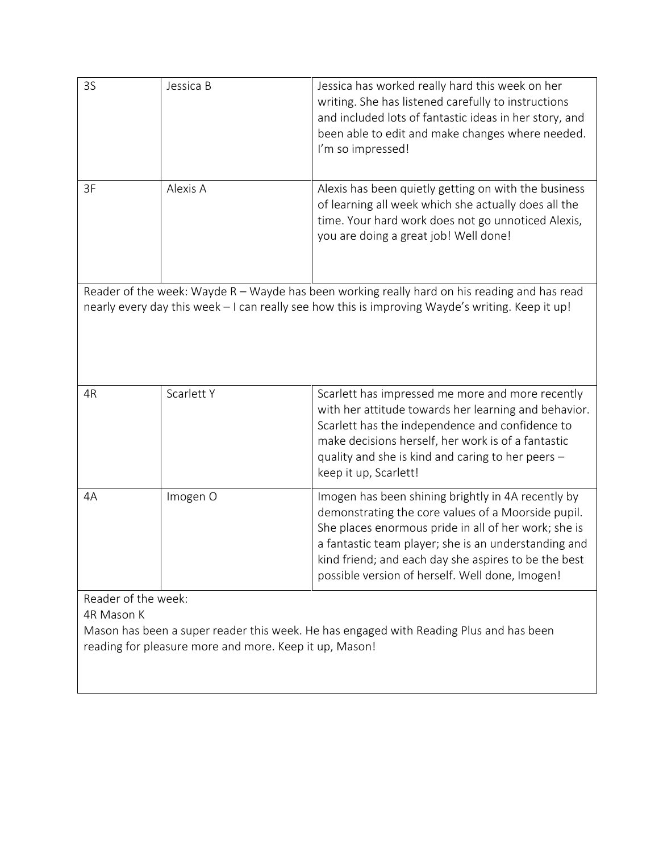| 3S                                                                                                                                                                                               | Jessica B                                              | Jessica has worked really hard this week on her<br>writing. She has listened carefully to instructions<br>and included lots of fantastic ideas in her story, and<br>been able to edit and make changes where needed.<br>I'm so impressed!                                                                                           |  |  |
|--------------------------------------------------------------------------------------------------------------------------------------------------------------------------------------------------|--------------------------------------------------------|-------------------------------------------------------------------------------------------------------------------------------------------------------------------------------------------------------------------------------------------------------------------------------------------------------------------------------------|--|--|
| 3F                                                                                                                                                                                               | Alexis A                                               | Alexis has been quietly getting on with the business<br>of learning all week which she actually does all the<br>time. Your hard work does not go unnoticed Alexis,<br>you are doing a great job! Well done!                                                                                                                         |  |  |
| Reader of the week: Wayde R - Wayde has been working really hard on his reading and has read<br>nearly every day this week - I can really see how this is improving Wayde's writing. Keep it up! |                                                        |                                                                                                                                                                                                                                                                                                                                     |  |  |
| 4R                                                                                                                                                                                               | Scarlett Y                                             | Scarlett has impressed me more and more recently<br>with her attitude towards her learning and behavior.<br>Scarlett has the independence and confidence to<br>make decisions herself, her work is of a fantastic<br>quality and she is kind and caring to her peers -<br>keep it up, Scarlett!                                     |  |  |
| 4A                                                                                                                                                                                               | Imogen O                                               | Imogen has been shining brightly in 4A recently by<br>demonstrating the core values of a Moorside pupil.<br>She places enormous pride in all of her work; she is<br>a fantastic team player; she is an understanding and<br>kind friend; and each day she aspires to be the best<br>possible version of herself. Well done, Imogen! |  |  |
| Reader of the week:<br>4R Mason K                                                                                                                                                                | reading for pleasure more and more. Keep it up, Mason! | Mason has been a super reader this week. He has engaged with Reading Plus and has been                                                                                                                                                                                                                                              |  |  |